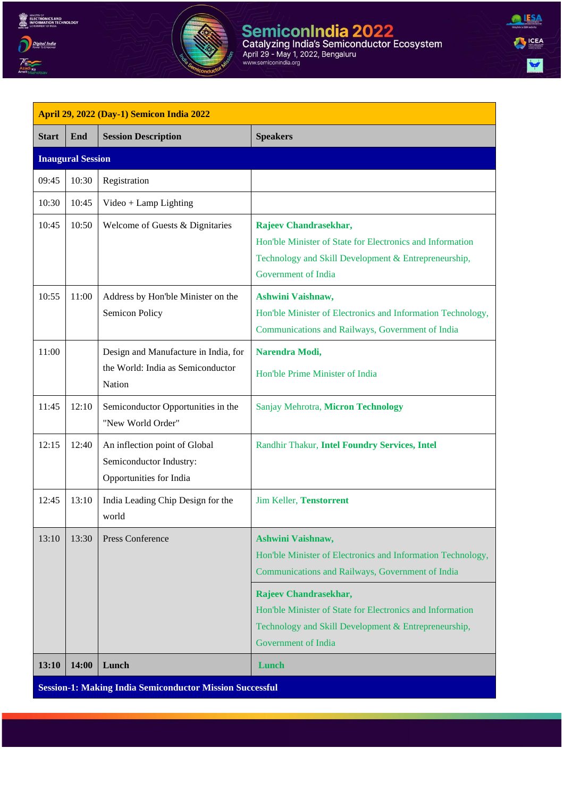



|                                                                 | April 29, 2022 (Day-1) Semicon India 2022 |                                                                                     |                                                                                                                                                                   |  |
|-----------------------------------------------------------------|-------------------------------------------|-------------------------------------------------------------------------------------|-------------------------------------------------------------------------------------------------------------------------------------------------------------------|--|
| <b>Start</b>                                                    | End                                       | <b>Session Description</b>                                                          | <b>Speakers</b>                                                                                                                                                   |  |
| <b>Inaugural Session</b>                                        |                                           |                                                                                     |                                                                                                                                                                   |  |
| 09:45                                                           | 10:30                                     | Registration                                                                        |                                                                                                                                                                   |  |
| 10:30                                                           | 10:45                                     | Video + Lamp Lighting                                                               |                                                                                                                                                                   |  |
| 10:45                                                           | 10:50                                     | Welcome of Guests & Dignitaries                                                     | Rajeev Chandrasekhar,<br>Hon'ble Minister of State for Electronics and Information<br>Technology and Skill Development & Entrepreneurship,<br>Government of India |  |
| 10:55                                                           | 11:00                                     | Address by Hon'ble Minister on the<br>Semicon Policy                                | Ashwini Vaishnaw,<br>Hon'ble Minister of Electronics and Information Technology,<br>Communications and Railways, Government of India                              |  |
| 11:00                                                           |                                           | Design and Manufacture in India, for<br>the World: India as Semiconductor<br>Nation | Narendra Modi,<br>Hon'ble Prime Minister of India                                                                                                                 |  |
| 11:45                                                           | 12:10                                     | Semiconductor Opportunities in the<br>"New World Order"                             | Sanjay Mehrotra, Micron Technology                                                                                                                                |  |
| 12:15                                                           | 12:40                                     | An inflection point of Global<br>Semiconductor Industry:<br>Opportunities for India | Randhir Thakur, Intel Foundry Services, Intel                                                                                                                     |  |
| 12:45                                                           | 13:10                                     | India Leading Chip Design for the<br>world                                          | Jim Keller, Tenstorrent                                                                                                                                           |  |
| 13:10                                                           | 13:30                                     | Press Conference                                                                    | Ashwini Vaishnaw,<br>Hon'ble Minister of Electronics and Information Technology,<br>Communications and Railways, Government of India                              |  |
|                                                                 |                                           |                                                                                     | Rajeev Chandrasekhar,<br>Hon'ble Minister of State for Electronics and Information<br>Technology and Skill Development & Entrepreneurship,<br>Government of India |  |
| 13:10                                                           | <b>14:00</b>                              | Lunch                                                                               | Lunch                                                                                                                                                             |  |
| <b>Session-1: Making India Semiconductor Mission Successful</b> |                                           |                                                                                     |                                                                                                                                                                   |  |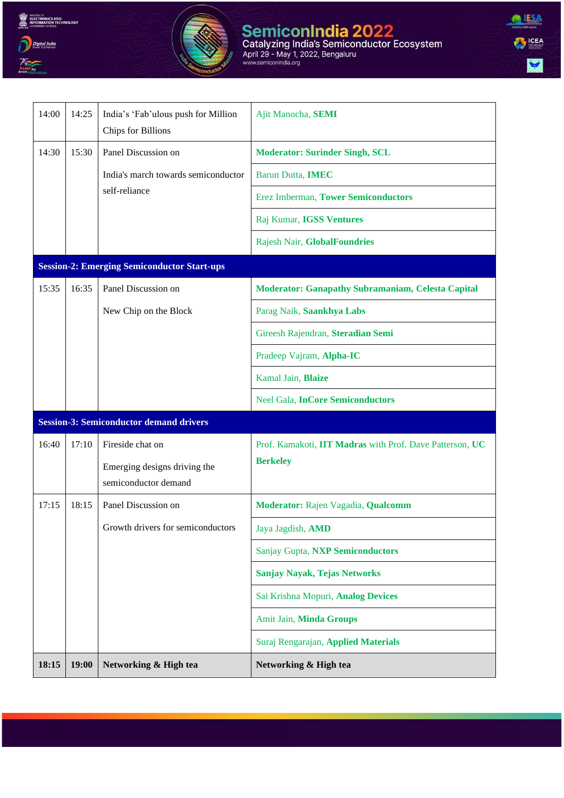





| 14:00 | 14:25 | India's 'Fab'ulous push for Million<br><b>Chips for Billions</b> | Ajit Manocha, SEMI                                       |
|-------|-------|------------------------------------------------------------------|----------------------------------------------------------|
| 14:30 | 15:30 | Panel Discussion on                                              | <b>Moderator: Surinder Singh, SCL</b>                    |
|       |       | India's march towards semiconductor                              | Barun Dutta, IMEC                                        |
|       |       | self-reliance                                                    | <b>Erez Imberman, Tower Semiconductors</b>               |
|       |       |                                                                  | Raj Kumar, IGSS Ventures                                 |
|       |       |                                                                  | <b>Rajesh Nair, GlobalFoundries</b>                      |
|       |       | <b>Session-2: Emerging Semiconductor Start-ups</b>               |                                                          |
| 15:35 | 16:35 | Panel Discussion on                                              | <b>Moderator: Ganapathy Subramaniam, Celesta Capital</b> |
|       |       | New Chip on the Block                                            | Parag Naik, Saankhya Labs                                |
|       |       |                                                                  | Gireesh Rajendran, Steradian Semi                        |
|       |       |                                                                  | Pradeep Vajram, Alpha-IC                                 |
|       |       |                                                                  | Kamal Jain, Blaize                                       |
|       |       |                                                                  |                                                          |
|       |       |                                                                  | <b>Neel Gala, InCore Semiconductors</b>                  |
|       |       | <b>Session-3: Semiconductor demand drivers</b>                   |                                                          |
| 16:40 | 17:10 | Fireside chat on                                                 | Prof. Kamakoti, IIT Madras with Prof. Dave Patterson, UC |
|       |       | Emerging designs driving the                                     | <b>Berkeley</b>                                          |
|       |       | semiconductor demand                                             |                                                          |
| 17:15 | 18:15 | Panel Discussion on                                              | Moderator: Rajen Vagadia, Qualcomm                       |
|       |       | Growth drivers for semiconductors                                | Jaya Jagdish, AMD                                        |
|       |       |                                                                  | Sanjay Gupta, NXP Semiconductors                         |
|       |       |                                                                  | <b>Sanjay Nayak, Tejas Networks</b>                      |
|       |       |                                                                  | Sai Krishna Mopuri, Analog Devices                       |
|       |       |                                                                  | Amit Jain, Minda Groups                                  |
|       |       |                                                                  | Suraj Rengarajan, Applied Materials                      |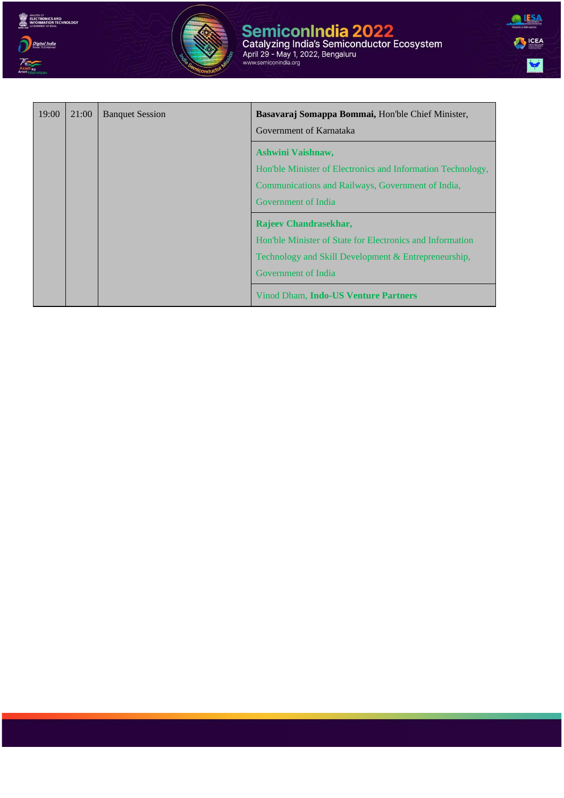





| 19:00 | 21:00<br><b>Banquet Session</b> | Basavaraj Somappa Bommai, Hon'ble Chief Minister,<br>Government of Karnataka |                                                             |
|-------|---------------------------------|------------------------------------------------------------------------------|-------------------------------------------------------------|
|       |                                 |                                                                              |                                                             |
|       |                                 |                                                                              | Ashwini Vaishnaw,                                           |
|       |                                 |                                                                              | Hon'ble Minister of Electronics and Information Technology, |
|       |                                 |                                                                              | Communications and Railways, Government of India,           |
|       |                                 |                                                                              | Government of India                                         |
|       |                                 |                                                                              | Rajeev Chandrasekhar,                                       |
|       |                                 |                                                                              | Hon'ble Minister of State for Electronics and Information   |
|       |                                 |                                                                              | Technology and Skill Development & Entrepreneurship,        |
|       |                                 |                                                                              | Government of India                                         |
|       |                                 |                                                                              | <b>Vinod Dham, Indo-US Venture Partners</b>                 |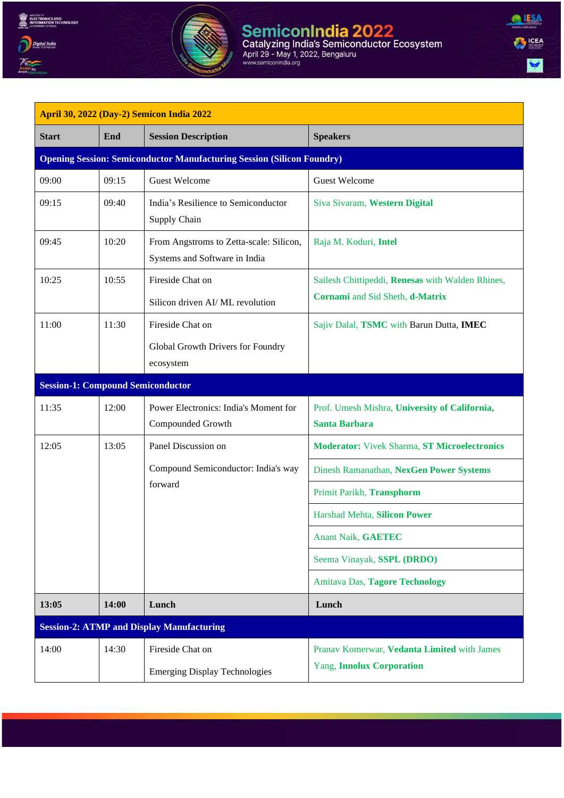

**OLIESA A**ICEA V

| April 30, 2022 (Day-2) Semicon India 2022 |         |                                                                               |                                                                                     |
|-------------------------------------------|---------|-------------------------------------------------------------------------------|-------------------------------------------------------------------------------------|
| <b>Start</b>                              | End     | <b>Session Description</b>                                                    | <b>Speakers</b>                                                                     |
|                                           |         | <b>Opening Session: Semiconductor Manufacturing Session (Silicon Foundry)</b> |                                                                                     |
| 09:00                                     | 09:15   | <b>Guest Welcome</b>                                                          | <b>Guest Welcome</b>                                                                |
| 09:15                                     | 09:40   | India's Resilience to Semiconductor<br>Supply Chain                           | Siva Sivaram, Western Digital                                                       |
| 09:45                                     | 10:20   | From Angstroms to Zetta-scale: Silicon,<br>Systems and Software in India      | Raja M. Koduri, Intel                                                               |
| 10:25                                     | 10:55   | Fireside Chat on<br>Silicon driven AI/ML revolution                           | Sailesh Chittipeddi, Renesas with Walden Rhines,<br>Cornami and Sid Sheth, d-Matrix |
| 11:00                                     | 11:30   | Fireside Chat on<br>Global Growth Drivers for Foundry<br>ecosystem            | Sajiv Dalal, TSMC with Barun Dutta, IMEC                                            |
| <b>Session-1: Compound Semiconductor</b>  |         |                                                                               |                                                                                     |
| 11:35                                     | 12:00   | Power Electronics: India's Moment for<br>Compounded Growth                    | Prof. Umesh Mishra, University of California,<br><b>Santa Barbara</b>               |
| 12:05                                     | 13:05   | Panel Discussion on                                                           | <b>Moderator: Vivek Sharma, ST Microelectronics</b>                                 |
|                                           |         | Compound Semiconductor: India's way                                           | Dinesh Ramanathan, NexGen Power Systems                                             |
|                                           | forward |                                                                               | Primit Parikh, Transphorm                                                           |
|                                           |         |                                                                               | Harshad Mehta, Silicon Power                                                        |
|                                           |         |                                                                               | <b>Anant Naik, GAETEC</b>                                                           |
|                                           |         |                                                                               | Seema Vinayak, SSPL (DRDO)                                                          |
|                                           |         |                                                                               | <b>Amitava Das, Tagore Technology</b>                                               |
| 13:05                                     | 14:00   | Lunch                                                                         | Lunch                                                                               |
|                                           |         | <b>Session-2: ATMP and Display Manufacturing</b>                              |                                                                                     |
| 14:00                                     | 14:30   | Fireside Chat on                                                              | Pranav Komerwar, Vedanta Limited with James                                         |
|                                           |         | <b>Emerging Display Technologies</b>                                          | <b>Yang, Innolux Corporation</b>                                                    |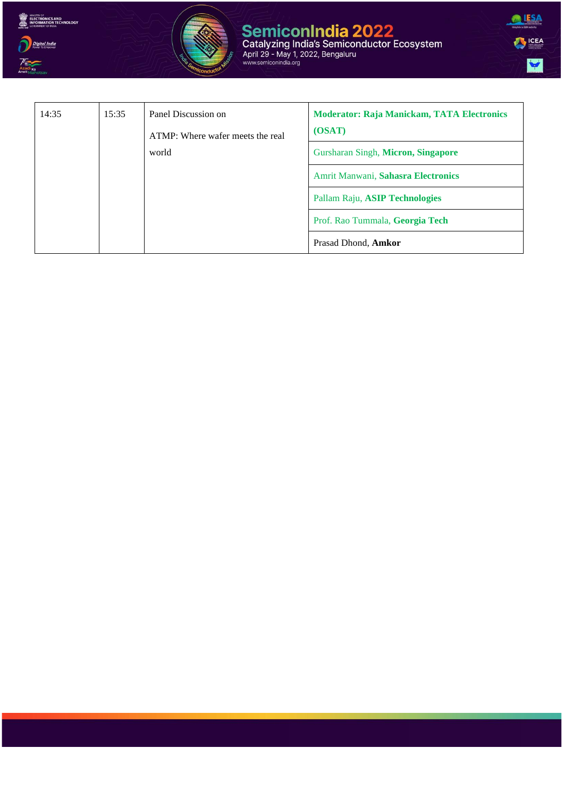





| 14:35 | 15:35 | Panel Discussion on<br>ATMP: Where wafer meets the real | <b>Moderator: Raja Manickam, TATA Electronics</b><br>(OSAT) |
|-------|-------|---------------------------------------------------------|-------------------------------------------------------------|
|       |       | world                                                   | Gursharan Singh, Micron, Singapore                          |
|       |       |                                                         | Amrit Manwani, Sahasra Electronics                          |
|       |       |                                                         | Pallam Raju, ASIP Technologies                              |
|       |       |                                                         | Prof. Rao Tummala, Georgia Tech                             |
|       |       |                                                         | Prasad Dhond, Amkor                                         |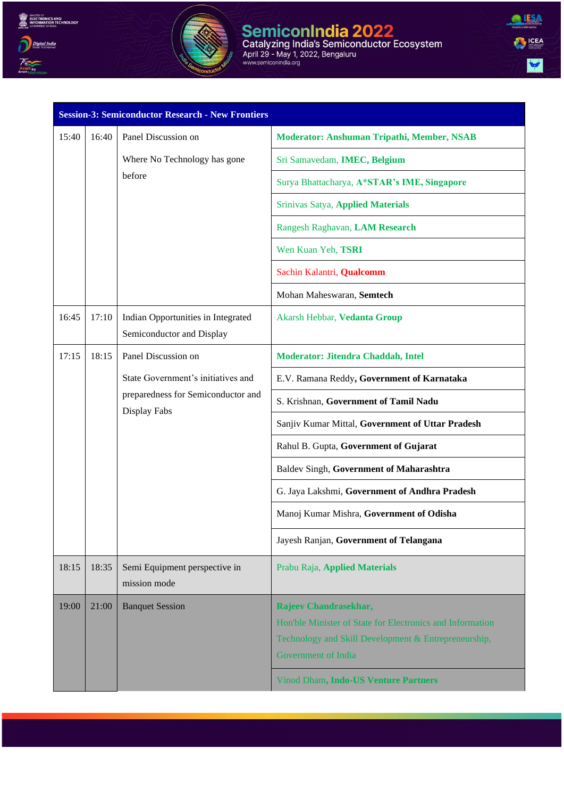



| <b>Session-3: Semiconductor Research - New Frontiers</b> |        |                                                                                          |                                                                                                                   |  |
|----------------------------------------------------------|--------|------------------------------------------------------------------------------------------|-------------------------------------------------------------------------------------------------------------------|--|
| 15:40                                                    | 16:40  | Panel Discussion on                                                                      | Moderator: Anshuman Tripathi, Member, NSAB                                                                        |  |
|                                                          |        | Where No Technology has gone                                                             | Sri Samavedam, IMEC, Belgium                                                                                      |  |
|                                                          | before | Surya Bhattacharya, A*STAR's IME, Singapore                                              |                                                                                                                   |  |
|                                                          |        | Srinivas Satya, Applied Materials                                                        |                                                                                                                   |  |
|                                                          |        |                                                                                          | Rangesh Raghavan, LAM Research                                                                                    |  |
|                                                          |        |                                                                                          | Wen Kuan Yeh, TSRI                                                                                                |  |
|                                                          |        |                                                                                          | Sachin Kalantri, Qualcomm                                                                                         |  |
|                                                          |        |                                                                                          | Mohan Maheswaran, Semtech                                                                                         |  |
| 16:45                                                    | 17:10  | Indian Opportunities in Integrated<br>Semiconductor and Display                          | Akarsh Hebbar, Vedanta Group                                                                                      |  |
|                                                          |        |                                                                                          |                                                                                                                   |  |
| 17:15                                                    | 18:15  | Panel Discussion on                                                                      | Moderator: Jitendra Chaddah, Intel                                                                                |  |
|                                                          |        | State Government's initiatives and<br>preparedness for Semiconductor and<br>Display Fabs | E.V. Ramana Reddy, Government of Karnataka                                                                        |  |
|                                                          |        |                                                                                          | S. Krishnan, Government of Tamil Nadu                                                                             |  |
|                                                          |        |                                                                                          | Sanjiv Kumar Mittal, Government of Uttar Pradesh                                                                  |  |
|                                                          |        |                                                                                          | Rahul B. Gupta, Government of Gujarat                                                                             |  |
|                                                          |        |                                                                                          | Baldev Singh, Government of Maharashtra                                                                           |  |
|                                                          |        |                                                                                          | G. Jaya Lakshmi, Government of Andhra Pradesh                                                                     |  |
|                                                          |        |                                                                                          | Manoj Kumar Mishra, Government of Odisha                                                                          |  |
|                                                          |        |                                                                                          | Jayesh Ranjan, Government of Telangana                                                                            |  |
| 18:15                                                    | 18:35  | Semi Equipment perspective in                                                            | Prabu Raja, Applied Materials                                                                                     |  |
|                                                          |        | mission mode                                                                             |                                                                                                                   |  |
| 19:00                                                    | 21:00  | <b>Banquet Session</b>                                                                   | Rajeev Chandrasekhar,                                                                                             |  |
|                                                          |        |                                                                                          | Hon'ble Minister of State for Electronics and Information<br>Technology and Skill Development & Entrepreneurship, |  |
|                                                          |        |                                                                                          | Government of India                                                                                               |  |
|                                                          |        |                                                                                          | <b>Vinod Dham, Indo-US Venture Partners</b>                                                                       |  |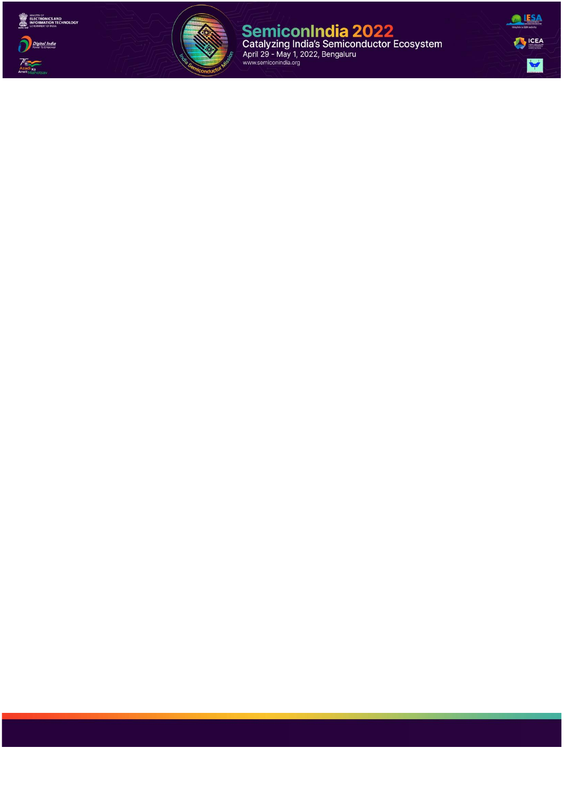

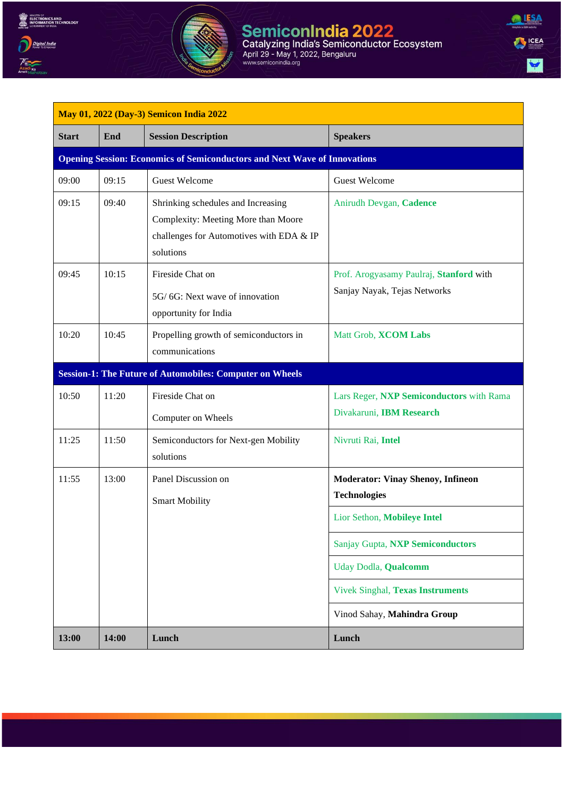



| May 01, 2022 (Day-3) Semicon India 2022 |       |                                                                                                                                    |                                                                         |
|-----------------------------------------|-------|------------------------------------------------------------------------------------------------------------------------------------|-------------------------------------------------------------------------|
| <b>Start</b>                            | End   | <b>Session Description</b>                                                                                                         | <b>Speakers</b>                                                         |
|                                         |       | <b>Opening Session: Economics of Semiconductors and Next Wave of Innovations</b>                                                   |                                                                         |
| 09:00                                   | 09:15 | <b>Guest Welcome</b>                                                                                                               | <b>Guest Welcome</b>                                                    |
| 09:15                                   | 09:40 | Shrinking schedules and Increasing<br>Complexity: Meeting More than Moore<br>challenges for Automotives with EDA & IP<br>solutions | Anirudh Devgan, Cadence                                                 |
| 09:45                                   | 10:15 | Fireside Chat on<br>5G/ 6G: Next wave of innovation<br>opportunity for India                                                       | Prof. Arogyasamy Paulraj, Stanford with<br>Sanjay Nayak, Tejas Networks |
| 10:20                                   | 10:45 | Propelling growth of semiconductors in<br>communications                                                                           | Matt Grob, <b>XCOM Labs</b>                                             |
|                                         |       | <b>Session-1: The Future of Automobiles: Computer on Wheels</b>                                                                    |                                                                         |
| 10:50                                   | 11:20 | Fireside Chat on<br>Computer on Wheels                                                                                             | Lars Reger, NXP Semiconductors with Rama<br>Divakaruni, IBM Research    |
| 11:25                                   | 11:50 | Semiconductors for Next-gen Mobility<br>solutions                                                                                  | Nivruti Rai, Intel                                                      |
| 11:55                                   | 13:00 | Panel Discussion on<br><b>Smart Mobility</b>                                                                                       | <b>Moderator: Vinay Shenoy, Infineon</b><br><b>Technologies</b>         |
|                                         |       |                                                                                                                                    | Lior Sethon, Mobileye Intel                                             |
|                                         |       |                                                                                                                                    | Sanjay Gupta, NXP Semiconductors                                        |
|                                         |       |                                                                                                                                    | Uday Dodla, Qualcomm                                                    |
|                                         |       |                                                                                                                                    | <b>Vivek Singhal, Texas Instruments</b>                                 |
|                                         |       |                                                                                                                                    | Vinod Sahay, Mahindra Group                                             |
| 13:00                                   | 14:00 | Lunch                                                                                                                              | Lunch                                                                   |